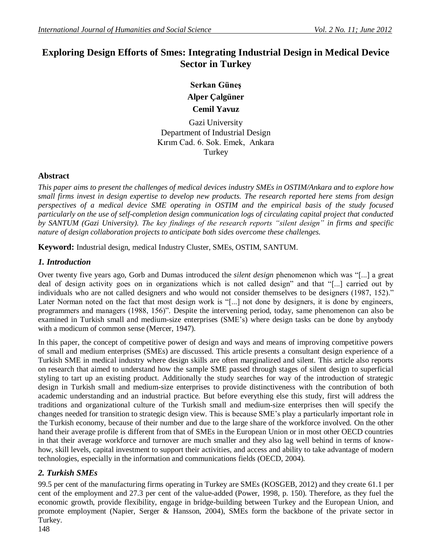# **Exploring Design Efforts of Smes: Integrating Industrial Design in Medical Device Sector in Turkey**

**Serkan Güneş Alper Çalgüner**

**Cemil Yavuz** 

Gazi University Department of Industrial Design Kırım Cad. 6. Sok. Emek, Ankara **Turkey** 

## **Abstract**

*This paper aims to present the challenges of medical devices industry SMEs in OSTIM/Ankara and to explore how small firms invest in design expertise to develop new products. The research reported here stems from design perspectives of a medical device SME operating in OSTIM and the empirical basis of the study focused particularly on the use of self-completion design communication logs of circulating capital project that conducted by SANTUM (Gazi University). The key findings of the research reports "silent design" in firms and specific nature of design collaboration projects to anticipate both sides overcome these challenges.*

**Keyword:** Industrial design, medical Industry Cluster, SMEs, OSTIM, SANTUM.

## *1. Introduction*

Over twenty five years ago, Gorb and Dumas introduced the *silent design* phenomenon which was "[...] a great deal of design activity goes on in organizations which is not called design" and that "[...] carried out by individuals who are not called designers and who would not consider themselves to be designers (1987, 152)." Later Norman noted on the fact that most design work is "[...] not done by designers, it is done by engineers, programmers and managers (1988, 156)". Despite the intervening period, today, same phenomenon can also be examined in Turkish small and medium-size enterprises (SME's) where design tasks can be done by anybody with a modicum of common sense (Mercer, 1947).

In this paper, the concept of competitive power of design and ways and means of improving competitive powers of small and medium enterprises (SMEs) are discussed. This article presents a consultant design experience of a Turkish SME in medical industry where design skills are often marginalized and silent. This article also reports on research that aimed to understand how the sample SME passed through stages of silent design to superficial styling to tart up an existing product. Additionally the study searches for way of the introduction of strategic design in Turkish small and medium-size enterprises to provide distinctiveness with the contribution of both academic understanding and an industrial practice. But before everything else this study, first will address the traditions and organizational culture of the Turkish small and medium-size enterprises then will specify the changes needed for transition to strategic design view. This is because SME's play a particularly important role in the Turkish economy, because of their number and due to the large share of the workforce involved. On the other hand their average profile is different from that of SMEs in the European Union or in most other OECD countries in that their average workforce and turnover are much smaller and they also lag well behind in terms of knowhow, skill levels, capital investment to support their activities, and access and ability to take advantage of modern technologies, especially in the information and communications fields (OECD, 2004).

# *2. Turkish SMEs*

99.5 per cent of the manufacturing firms operating in Turkey are SMEs (KOSGEB, 2012) and they create 61.1 per cent of the employment and 27.3 per cent of the value-added (Power, 1998, p. 150). Therefore, as they fuel the economic growth, provide flexibility, engage in bridge-building between Turkey and the European Union, and promote employment (Napier, Serger & Hansson, 2004), SMEs form the backbone of the private sector in Turkey.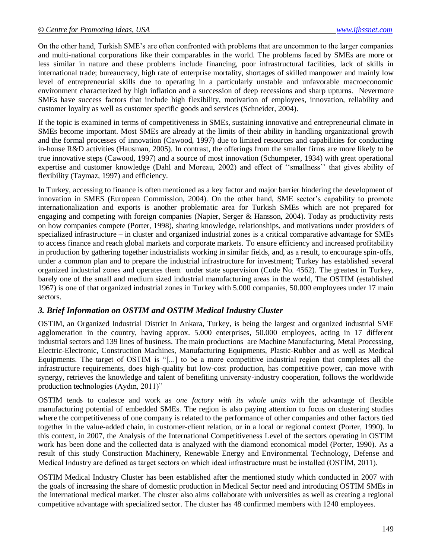On the other hand, Turkish SME's are often confronted with problems that are uncommon to the larger companies and multi-national corporations like their comparables in the world. The problems faced by SMEs are more or less similar in nature and these problems include financing, poor infrastructural facilities, lack of skills in international trade; bureaucracy, high rate of enterprise mortality, shortages of skilled manpower and mainly low level of entrepreneurial skills due to operating in a particularly unstable and unfavorable macroeconomic environment characterized by high inflation and a succession of deep recessions and sharp upturns. Nevermore SMEs have success factors that include high flexibility, motivation of employees, innovation, reliability and customer loyalty as well as customer specific goods and services (Schneider, 2004).

If the topic is examined in terms of competitiveness in SMEs, sustaining innovative and entrepreneurial climate in SMEs become important. Most SMEs are already at the limits of their ability in handling organizational growth and the formal processes of innovation (Cawood, 1997) due to limited resources and capabilities for conducting in-house R&D activities (Hausman, 2005). In contrast, the offerings from the smaller firms are more likely to be true innovative steps (Cawood, 1997) and a source of most innovation (Schumpeter, 1934) with great operational expertise and customer knowledge (Dahl and Moreau, 2002) and effect of "smallness" that gives ability of flexibility (Taymaz, 1997) and efficiency.

In Turkey, accessing to finance is often mentioned as a key factor and major barrier hindering the development of innovation in SMES (European Commission, 2004). On the other hand, SME sector's capability to promote internationalization and exports is another problematic area for Turkish SMEs which are not prepared for engaging and competing with foreign companies (Napier, Serger & Hansson, 2004). Today as productivity rests on how companies compete (Porter, 1998), sharing knowledge, relationships, and motivations under providers of specialized infrastructure – in cluster and organized industrial zones is a critical comparative advantage for SMEs to access finance and reach global markets and corporate markets. To ensure efficiency and increased profitability in production by gathering together industrialists working in similar fields, and, as a result, to encourage spin-offs, under a common plan and to prepare the industrial infrastructure for investment; Turkey has established several organized industrial zones and operates them under state supervision (Code No. 4562). The greatest in Turkey, barely one of the small and medium sized industrial manufacturing areas in the world, The OSTIM (established 1967) is one of that organized industrial zones in Turkey with 5.000 companies, 50.000 employees under 17 main sectors.

#### *3. Brief Information on OSTIM and OSTIM Medical Industry Cluster*

OSTIM, an Organized Industrial District in Ankara, Turkey, is being the largest and organized industrial SME agglomeration in the country, having approx. 5.000 enterprises, 50.000 employees, acting in 17 different industrial sectors and 139 lines of business. The main productions are Machine Manufacturing, Metal Processing, Electric-Electronic, Construction Machines, Manufacturing Equipments, Plastic-Rubber and as well as Medical Equipments. The target of OSTIM is  $\lq$ [...] to be a more competitive industrial region that completes all the infrastructure requirements, does high-quality but low-cost production, has competitive power, can move with synergy, retrieves the knowledge and talent of benefiting university-industry cooperation, follows the worldwide production technologies (Aydın, 2011)"

OSTIM tends to coalesce and work as *one factory with its whole units* with the advantage of flexible manufacturing potential of embedded SMEs. The region is also paying attention to focus on clustering studies where the competitiveness of one company is related to the performance of other companies and other factors tied together in the value-added chain, in customer-client relation, or in a local or regional context (Porter, 1990). In this context, in 2007, the Analysis of the International Competitiveness Level of the sectors operating in OSTIM work has been done and the collected data is analyzed with the diamond economical model (Porter, 1990). As a result of this study Construction Machinery, Renewable Energy and Environmental Technology, Defense and Medical Industry are defined as target sectors on which ideal infrastructure must be installed (OSTİM, 2011).

OSTIM Medical Industry Cluster has been established after the mentioned study which conducted in 2007 with the goals of increasing the share of domestic production in Medical Sector need and introducing OSTIM SMEs in the international medical market. The cluster also aims collaborate with universities as well as creating a regional competitive advantage with specialized sector. The cluster has 48 confirmed members with 1240 employees.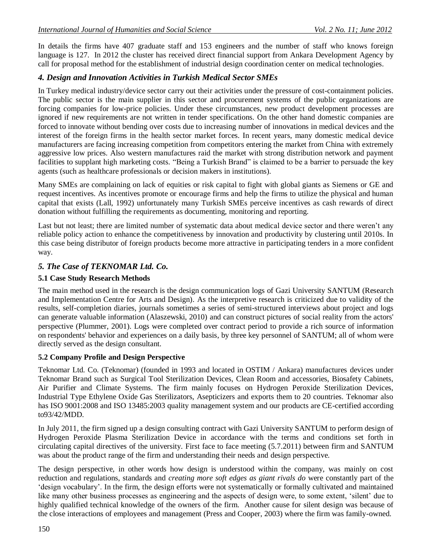In details the firms have 407 graduate staff and 153 engineers and the number of staff who knows foreign language is 127. In 2012 the cluster has received direct financial support from Ankara Development Agency by call for proposal method for the establishment of industrial design coordination center on medical technologies.

## *4. Design and Innovation Activities in Turkish Medical Sector SMEs*

In Turkey medical industry/device sector carry out their activities under the pressure of cost-containment policies. The public sector is the main supplier in this sector and procurement systems of the public organizations are forcing companies for low-price policies. Under these circumstances, new product development processes are ignored if new requirements are not written in tender specifications. On the other hand domestic companies are forced to innovate without bending over costs due to increasing number of innovations in medical devices and the interest of the foreign firms in the health sector market forces. In recent years, many domestic medical device manufacturers are facing increasing competition from competitors entering the market from China with extremely aggressive low prices. Also western manufactures raid the market with strong distribution network and payment facilities to supplant high marketing costs. "Being a Turkish Brand" is claimed to be a barrier to persuade the key agents (such as healthcare professionals or decision makers in institutions).

Many SMEs are complaining on lack of equities or risk capital to fight with global giants as Siemens or GE and request incentives. As incentives promote or encourage firms and help the firms to utilize the physical and human capital that exists (Lall, 1992) unfortunately many Turkish SMEs perceive incentives as cash rewards of direct donation without fulfilling the requirements as documenting, monitoring and reporting.

Last but not least; there are limited number of systematic data about medical device sector and there weren't any reliable policy action to enhance the competitiveness by innovation and productivity by clustering until 2010s. In this case being distributor of foreign products become more attractive in participating tenders in a more confident way.

## *5. The Case of TEKNOMAR Ltd. Co.*

## **5.1 Case Study Research Methods**

The main method used in the research is the design communication logs of Gazi University SANTUM (Research and Implementation Centre for Arts and Design). As the interpretive research is criticized due to validity of the results, self-completion diaries, journals sometimes a series of semi-structured interviews about project and logs can generate valuable information (Alaszewski, 2010) and can construct pictures of social reality from the actors' perspective (Plummer, 2001). Logs were completed over contract period to provide a rich source of information on respondents' behavior and experiences on a daily basis, by three key personnel of SANTUM; all of whom were directly served as the design consultant.

#### **5.2 Company Profile and Design Perspective**

Teknomar Ltd. Co. (Teknomar) (founded in 1993 and located in OSTIM / Ankara) manufactures devices under Teknomar Brand such as Surgical Tool Sterilization Devices, Clean Room and accessories, Biosafety Cabinets, Air Purifier and Climate Systems. The firm mainly focuses on Hydrogen Peroxide Sterilization Devices, Industrial Type Ethylene Oxide Gas Sterilizators, Asepticizers and exports them to 20 countries. Teknomar also has ISO 9001:2008 and ISO 13485:2003 quality management system and our products are CE-certified according to93/42/MDD.

In July 2011, the firm signed up a design consulting contract with Gazi University SANTUM to perform design of Hydrogen Peroxide Plasma Sterilization Device in accordance with the terms and conditions set forth in circulating capital directives of the university. First face to face meeting (5.7.2011) between firm and SANTUM was about the product range of the firm and understanding their needs and design perspective.

The design perspective, in other words how design is understood within the company, was mainly on cost reduction and regulations, standards and *creating more soft edges as giant rivals do* were constantly part of the ‗design vocabulary'. In the firm, the design efforts were not systematically or formally cultivated and maintained like many other business processes as engineering and the aspects of design were, to some extent, 'silent' due to highly qualified technical knowledge of the owners of the firm. Another cause for silent design was because of the close interactions of employees and management (Press and Cooper, 2003) where the firm was family-owned.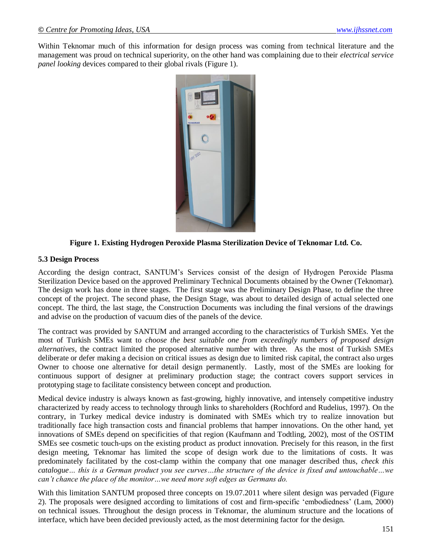Within Teknomar much of this information for design process was coming from technical literature and the management was proud on technical superiority, on the other hand was complaining due to their *electrical service panel looking* devices compared to their global rivals (Figure 1).



**Figure 1. Existing Hydrogen Peroxide Plasma Sterilization Device of Teknomar Ltd. Co.**

#### **5.3 Design Process**

According the design contract, SANTUM's Services consist of the design of Hydrogen Peroxide Plasma Sterilization Device based on the approved Preliminary Technical Documents obtained by the Owner (Teknomar). The design work has done in three stages. The first stage was the Preliminary Design Phase, to define the three concept of the project. The second phase, the Design Stage, was about to detailed design of actual selected one concept. The third, the last stage, the Construction Documents was including the final versions of the drawings and advise on the production of vacuum dies of the panels of the device.

The contract was provided by SANTUM and arranged according to the characteristics of Turkish SMEs. Yet the most of Turkish SMEs want to *choose the best suitable one from exceedingly numbers of proposed design alternatives,* the contract limited the proposed alternative number with three. As the most of Turkish SMEs deliberate or defer making a decision on critical issues as design due to limited risk capital, the contract also urges Owner to choose one alternative for detail design permanently. Lastly, most of the SMEs are looking for continuous support of designer at preliminary production stage; the contract covers support services in prototyping stage to facilitate consistency between concept and production.

Medical device industry is always known as fast-growing, highly innovative, and intensely competitive industry characterized by ready access to technology through links to shareholders (Rochford and Rudelius, 1997). On the contrary, in Turkey medical device industry is dominated with SMEs which try to realize innovation but traditionally face high transaction costs and financial problems that hamper innovations. On the other hand, yet innovations of SMEs depend on specificities of that region (Kaufmann and Todtling, 2002), most of the OSTIM SMEs see cosmetic touch-ups on the existing product as product innovation. Precisely for this reason, in the first design meeting, Teknomar has limited the scope of design work due to the limitations of costs. It was predominately facilitated by the cost-clamp within the company that one manager described thus, *check this catalogue… this is a German product you see curves…the structure of the device is fixed and untouchable…we can't chance the place of the monitor…we need more soft edges as Germans do.*

With this limitation SANTUM proposed three concepts on 19.07.2011 where silent design was pervaded (Figure 2). The proposals were designed according to limitations of cost and firm-specific ‗embodiedness' (Lam, 2000) on technical issues. Throughout the design process in Teknomar, the aluminum structure and the locations of interface, which have been decided previously acted, as the most determining factor for the design.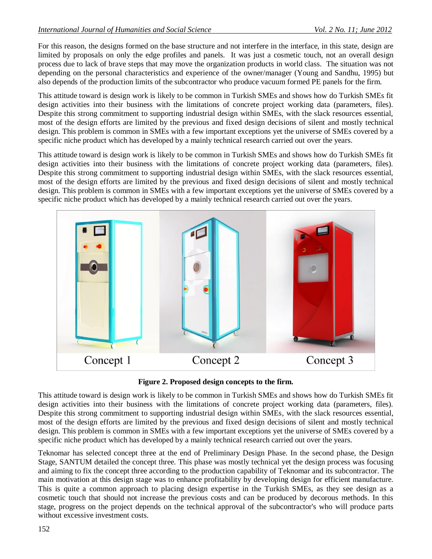For this reason, the designs formed on the base structure and not interfere in the interface, in this state, design are limited by proposals on only the edge profiles and panels. It was just a cosmetic touch, not an overall design process due to lack of brave steps that may move the organization products in world class. The situation was not depending on the personal characteristics and experience of the owner/manager (Young and Sandhu, 1995) but also depends of the production limits of the subcontractor who produce vacuum formed PE panels for the firm.

This attitude toward is design work is likely to be common in Turkish SMEs and shows how do Turkish SMEs fit design activities into their business with the limitations of concrete project working data (parameters, files). Despite this strong commitment to supporting industrial design within SMEs, with the slack resources essential, most of the design efforts are limited by the previous and fixed design decisions of silent and mostly technical design. This problem is common in SMEs with a few important exceptions yet the universe of SMEs covered by a specific niche product which has developed by a mainly technical research carried out over the years.

This attitude toward is design work is likely to be common in Turkish SMEs and shows how do Turkish SMEs fit design activities into their business with the limitations of concrete project working data (parameters, files). Despite this strong commitment to supporting industrial design within SMEs, with the slack resources essential, most of the design efforts are limited by the previous and fixed design decisions of silent and mostly technical design. This problem is common in SMEs with a few important exceptions yet the universe of SMEs covered by a specific niche product which has developed by a mainly technical research carried out over the years.



**Figure 2. Proposed design concepts to the firm.**

This attitude toward is design work is likely to be common in Turkish SMEs and shows how do Turkish SMEs fit design activities into their business with the limitations of concrete project working data (parameters, files). Despite this strong commitment to supporting industrial design within SMEs, with the slack resources essential, most of the design efforts are limited by the previous and fixed design decisions of silent and mostly technical design. This problem is common in SMEs with a few important exceptions yet the universe of SMEs covered by a specific niche product which has developed by a mainly technical research carried out over the years.

Teknomar has selected concept three at the end of Preliminary Design Phase. In the second phase, the Design Stage, SANTUM detailed the concept three. This phase was mostly technical yet the design process was focusing and aiming to fix the concept three according to the production capability of Teknomar and its subcontractor. The main motivation at this design stage was to enhance profitability by developing design for efficient manufacture. This is quite a common approach to placing design expertise in the Turkish SMEs, as they see design as a cosmetic touch that should not increase the previous costs and can be produced by decorous methods. In this stage, progress on the project depends on the technical approval of the subcontractor's who will produce parts without excessive investment costs.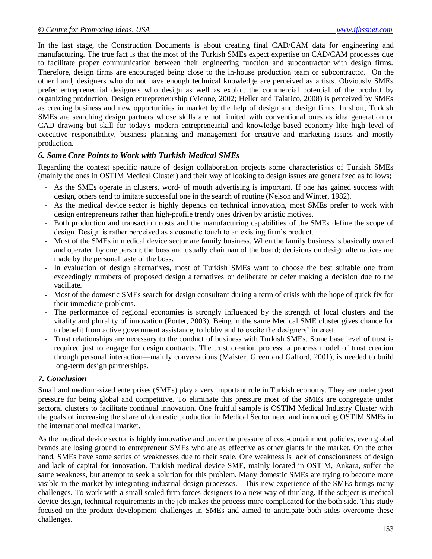In the last stage, the Construction Documents is about creating final CAD/CAM data for engineering and manufacturing. The true fact is that the most of the Turkish SMEs expect expertise on CAD/CAM processes due to facilitate proper communication between their engineering function and subcontractor with design firms. Therefore, design firms are encouraged being close to the in-house production team or subcontractor. On the other hand, designers who do not have enough technical knowledge are perceived as artists. Obviously SMEs prefer entrepreneurial designers who design as well as exploit the commercial potential of the product by organizing production. Design entrepreneurship (Vienne, 2002; Heller and Talarico, 2008) is perceived by SMEs as creating business and new opportunities in market by the help of design and design firms. In short, Turkish SMEs are searching design partners whose skills are not limited with conventional ones as idea generation or CAD drawing but skill for today's modern entrepreneurial and knowledge-based economy like high level of executive responsibility, business planning and management for creative and marketing issues and mostly production.

#### *6. Some Core Points to Work with Turkish Medical SMEs*

Regarding the context specific nature of design collaboration projects some characteristics of Turkish SMEs (mainly the ones in OSTIM Medical Cluster) and their way of looking to design issues are generalized as follows;

- As the SMEs operate in clusters, word- of mouth advertising is important. If one has gained success with design, others tend to imitate successful one in the search of routine (Nelson and Winter, 1982).
- As the medical device sector is highly depends on technical innovation, most SMEs prefer to work with design entrepreneurs rather than high-profile trendy ones driven by artistic motives.
- Both production and transaction costs and the manufacturing capabilities of the SMEs define the scope of design. Design is rather perceived as a cosmetic touch to an existing firm's product.
- Most of the SMEs in medical device sector are family business. When the family business is basically owned and operated by one person; the boss and usually chairman of the board; decisions on design alternatives are made by the personal taste of the boss.
- In evaluation of design alternatives, most of Turkish SMEs want to choose the best suitable one from exceedingly numbers of proposed design alternatives or deliberate or defer making a decision due to the vacillate.
- Most of the domestic SMEs search for design consultant during a term of crisis with the hope of quick fix for their immediate problems.
- The performance of regional economies is strongly influenced by the strength of local clusters and the vitality and plurality of innovation (Porter, 2003). Being in the same Medical SME cluster gives chance for to benefit from active government assistance, to lobby and to excite the designers' interest.
- Trust relationships are necessary to the conduct of business with Turkish SMEs. Some base level of trust is required just to engage for design contracts. The trust creation process, a process model of trust creation through personal interaction—mainly conversations (Maister, Green and Galford, 2001), is needed to build long-term design partnerships.

#### *7. Conclusion*

Small and medium-sized enterprises (SMEs) play a very important role in Turkish economy. They are under great pressure for being global and competitive. To eliminate this pressure most of the SMEs are congregate under sectoral clusters to facilitate continual innovation. One fruitful sample is OSTIM Medical Industry Cluster with the goals of increasing the share of domestic production in Medical Sector need and introducing OSTIM SMEs in the international medical market.

As the medical device sector is highly innovative and under the pressure of cost-containment policies, even global brands are losing ground to entrepreneur SMEs who are as effective as other giants in the market. On the other hand, SMEs have some series of weaknesses due to their scale. One weakness is lack of consciousness of design and lack of capital for innovation. Turkish medical device SME, mainly located in OSTIM, Ankara, suffer the same weakness, but attempt to seek a solution for this problem. Many domestic SMEs are trying to become more visible in the market by integrating industrial design processes. This new experience of the SMEs brings many challenges. To work with a small scaled firm forces designers to a new way of thinking. If the subject is medical device design, technical requirements in the job makes the process more complicated for the both side. This study focused on the product development challenges in SMEs and aimed to anticipate both sides overcome these challenges.